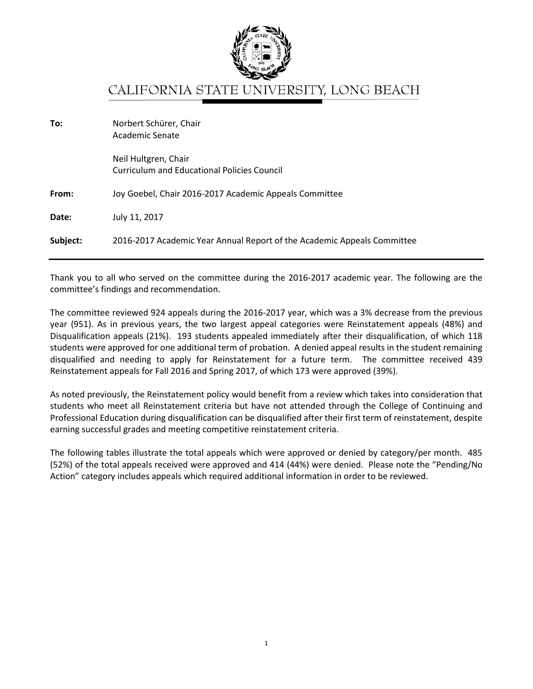

## CALIFORNIA STATE UNIVERSITY, LONG BEACH

| To:      | Norbert Schürer, Chair<br>Academic Senate                                  |
|----------|----------------------------------------------------------------------------|
|          | Neil Hultgren, Chair<br><b>Curriculum and Educational Policies Council</b> |
| From:    | Joy Goebel, Chair 2016-2017 Academic Appeals Committee                     |
| Date:    | July 11, 2017                                                              |
| Subject: | 2016-2017 Academic Year Annual Report of the Academic Appeals Committee    |

Thank you to all who served on the committee during the 2016-2017 academic year. The following are the committee's findings and recommendation.

The committee reviewed 924 appeals during the 2016-2017 year, which was a 3% decrease from the previous year (951). As in previous years, the two largest appeal categories were Reinstatement appeals (48%) and Disqualification appeals (21%). 193 students appealed immediately after their disqualification, of which 118 students were approved for one additional term of probation. A denied appeal results in the student remaining disqualified and needing to apply for Reinstatement for a future term. The committee received 439 Reinstatement appeals for Fall 2016 and Spring 2017, of which 173 were approved (39%).

As noted previously, the Reinstatement policy would benefit from a review which takes into consideration that students who meet all Reinstatement criteria but have not attended through the College of Continuing and Professional Education during disqualification can be disqualified after their first term of reinstatement, despite earning successful grades and meeting competitive reinstatement criteria.

The following tables illustrate the total appeals which were approved or denied by category/per month. 485 (52%) of the total appeals received were approved and 414 (44%) were denied. Please note the "Pending/No Action" category includes appeals which required additional information in order to be reviewed.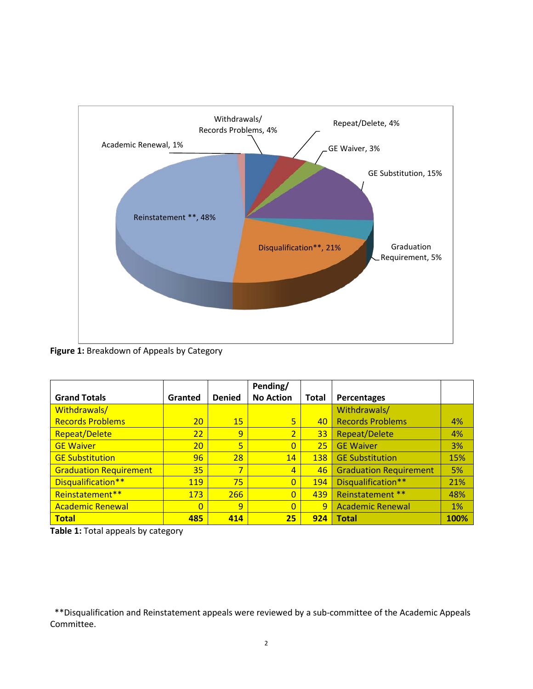

**Figure 1:** Breakdown of Appeals by Category

|                               |                |               | Pending/         |              |                               |      |
|-------------------------------|----------------|---------------|------------------|--------------|-------------------------------|------|
| <b>Grand Totals</b>           | Granted        | <b>Denied</b> | <b>No Action</b> | <b>Total</b> | Percentages                   |      |
| Withdrawals/                  |                |               |                  |              | Withdrawals/                  |      |
| <b>Records Problems</b>       | 20             | 15            | $\overline{5}$   | 40           | <b>Records Problems</b>       | 4%   |
| <b>Repeat/Delete</b>          | 22             | 9             | $\overline{2}$   | 33           | <b>Repeat/Delete</b>          | 4%   |
| <b>GE Waiver</b>              | 20             | 5             | $\Omega$         | 25           | <b>GE Waiver</b>              | 3%   |
| <b>GE Substitution</b>        | 96             | 28            | 14               | 138          | <b>GE Substitution</b>        | 15%  |
| <b>Graduation Requirement</b> | 35             | 7             | $\overline{4}$   | 46           | <b>Graduation Requirement</b> | 5%   |
| Disqualification**            | 119            | 75            | $\overline{0}$   | 194          | Disqualification**            | 21%  |
| Reinstatement**               | 173            | 266           | $\Omega$         | 439          | Reinstatement **              | 48%  |
| <b>Academic Renewal</b>       | $\overline{0}$ | 9             | $\Omega$         | 9            | <b>Academic Renewal</b>       | 1%   |
| <b>Total</b>                  | 485            | 414           | 25               | 924          | <b>Total</b>                  | 100% |

**Table 1:** Total appeals by category

 \*\*Disqualification and Reinstatement appeals were reviewed by a sub-committee of the Academic Appeals Committee.